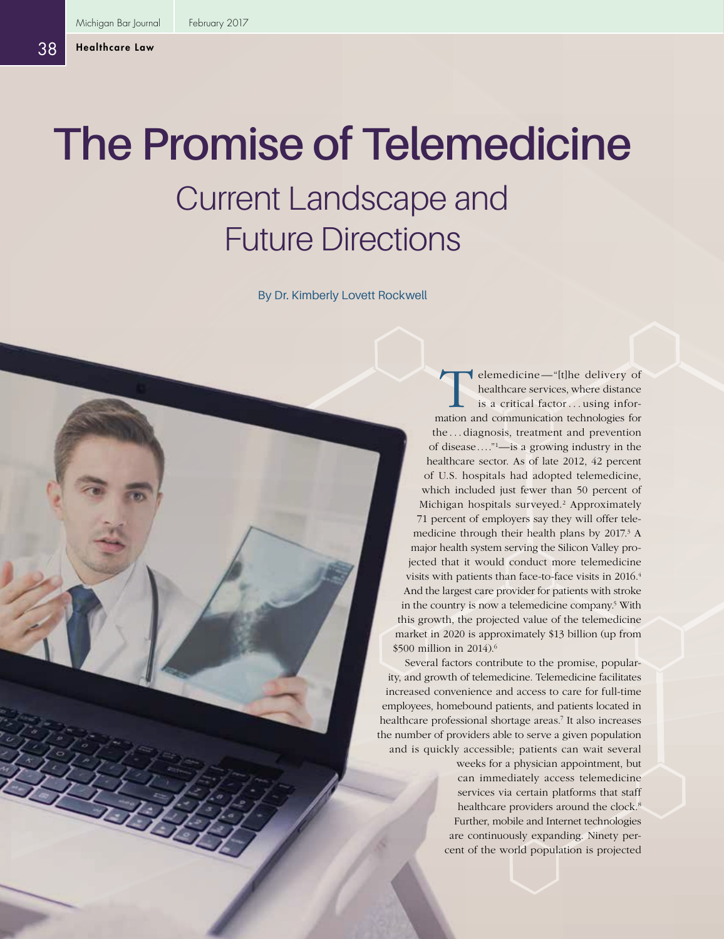# **The Promise of Telemedicine** Current Landscape and Future Directions

By Dr. Kimberly Lovett Rockwell

Elemedicine—"[t]he delivery of<br>healthcare services, where distance<br>is a critical factor...using infor-<br>pation and communication technologies for healthcare services, where distance is a critical factor . . . using information and communication technologies for the . . . diagnosis, treatment and prevention of disease...."1—is a growing industry in the healthcare sector. As of late 2012, 42 percent of U.S. hospitals had adopted telemedicine, which included just fewer than 50 percent of Michigan hospitals surveyed.<sup>2</sup> Approximately 71 percent of employers say they will offer telemedicine through their health plans by  $2017<sup>3</sup>$  A major health system serving the Silicon Valley projected that it would conduct more telemedicine visits with patients than face-to-face visits in 2016.4 And the largest care provider for patients with stroke in the country is now a telemedicine company.<sup>5</sup> With this growth, the projected value of the telemedicine market in 2020 is approximately \$13 billion (up from \$500 million in 2014).<sup>6</sup>

Several factors contribute to the promise, popularity, and growth of telemedicine. Telemedicine facilitates increased convenience and access to care for full-time employees, homebound patients, and patients located in healthcare professional shortage areas.7 It also increases the number of providers able to serve a given population and is quickly accessible; patients can wait several

> weeks for a physician appointment, but can immediately access telemedicine services via certain platforms that staff healthcare providers around the clock.<sup>8</sup> Further, mobile and Internet technologies are continuously expanding. Ninety percent of the world population is projected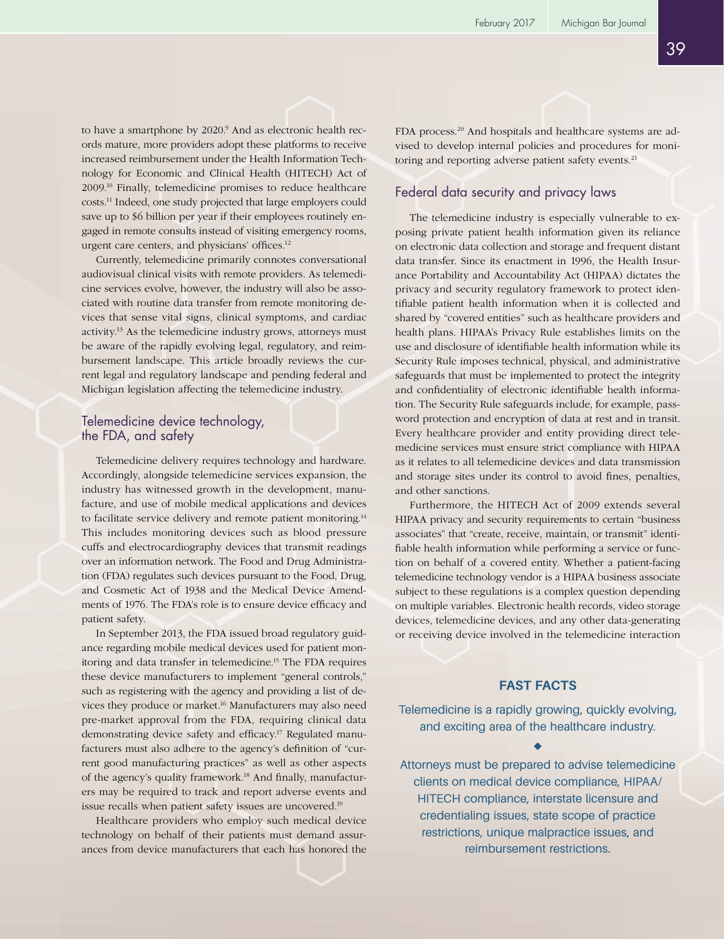39

to have a smartphone by 2020.<sup>9</sup> And as electronic health records mature, more providers adopt these platforms to receive increased reimbursement under the Health Information Technology for Economic and Clinical Health (HITECH) Act of 2009.10 Finally, telemedicine promises to reduce healthcare costs.11 Indeed, one study projected that large employers could save up to \$6 billion per year if their employees routinely engaged in remote consults instead of visiting emergency rooms, urgent care centers, and physicians' offices.<sup>12</sup>

Currently, telemedicine primarily connotes conversational audiovisual clinical visits with remote providers. As telemedicine services evolve, however, the industry will also be associated with routine data transfer from remote monitoring devices that sense vital signs, clinical symptoms, and cardiac activity.<sup>13</sup> As the telemedicine industry grows, attorneys must be aware of the rapidly evolving legal, regulatory, and reimbursement landscape. This article broadly reviews the current legal and regulatory landscape and pending federal and Michigan legislation affecting the telemedicine industry.

## Telemedicine device technology, the FDA, and safety

Telemedicine delivery requires technology and hardware. Accordingly, alongside telemedicine services expansion, the industry has witnessed growth in the development, manufacture, and use of mobile medical applications and devices to facilitate service delivery and remote patient monitoring.<sup>14</sup> This includes monitoring devices such as blood pressure cuffs and electrocardiography devices that transmit readings over an information network. The Food and Drug Administration (FDA) regulates such devices pursuant to the Food, Drug, and Cosmetic Act of 1938 and the Medical Device Amendments of 1976. The FDA's role is to ensure device efficacy and patient safety.

In September 2013, the FDA issued broad regulatory guidance regarding mobile medical devices used for patient monitoring and data transfer in telemedicine.15 The FDA requires these device manufacturers to implement "general controls," such as registering with the agency and providing a list of devices they produce or market.16 Manufacturers may also need pre-market approval from the FDA, requiring clinical data demonstrating device safety and efficacy.17 Regulated manufacturers must also adhere to the agency's definition of "current good manufacturing practices" as well as other aspects of the agency's quality framework.18 And finally, manufacturers may be required to track and report adverse events and issue recalls when patient safety issues are uncovered.19

Healthcare providers who employ such medical device technology on behalf of their patients must demand assurances from device manufacturers that each has honored the

FDA process.20 And hospitals and healthcare systems are advised to develop internal policies and procedures for monitoring and reporting adverse patient safety events.<sup>21</sup>

## Federal data security and privacy laws

The telemedicine industry is especially vulnerable to exposing private patient health information given its reliance on electronic data collection and storage and frequent distant data transfer. Since its enactment in 1996, the Health Insurance Portability and Accountability Act (HIPAA) dictates the privacy and security regulatory framework to protect identifiable patient health information when it is collected and shared by "covered entities" such as healthcare providers and health plans. HIPAA's Privacy Rule establishes limits on the use and disclosure of identifiable health information while its Security Rule imposes technical, physical, and administrative safeguards that must be implemented to protect the integrity and confidentiality of electronic identifiable health information. The Security Rule safeguards include, for example, password protection and encryption of data at rest and in transit. Every healthcare provider and entity providing direct telemedicine services must ensure strict compliance with HIPAA as it relates to all telemedicine devices and data transmission and storage sites under its control to avoid fines, penalties, and other sanctions.

Furthermore, the HITECH Act of 2009 extends several HIPAA privacy and security requirements to certain "business associates" that "create, receive, maintain, or transmit" identifiable health information while performing a service or function on behalf of a covered entity. Whether a patient-facing telemedicine technology vendor is a HIPAA business associate subject to these regulations is a complex question depending on multiple variables. Electronic health records, video storage devices, telemedicine devices, and any other data-generating or receiving device involved in the telemedicine interaction

#### **FAST FACTS**

Telemedicine is a rapidly growing, quickly evolving, and exciting area of the healthcare industry.

Attorneys must be prepared to advise telemedicine clients on medical device compliance, HIPAA/ HITECH compliance, interstate licensure and credentialing issues, state scope of practice restrictions, unique malpractice issues, and reimbursement restrictions.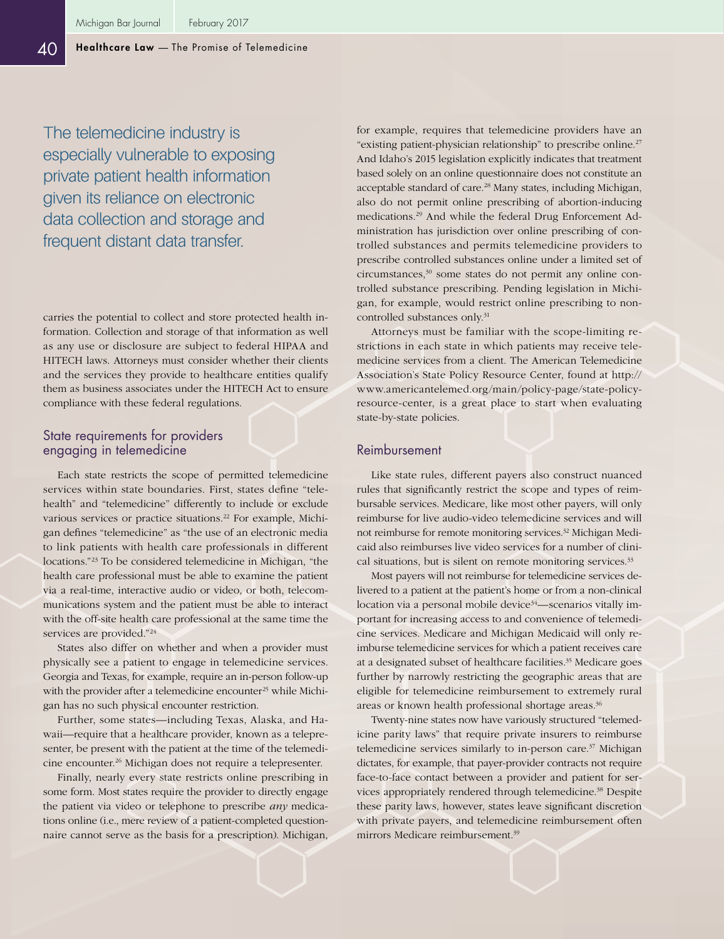The telemedicine industry is especially vulnerable to exposing private patient health information given its reliance on electronic data collection and storage and frequent distant data transfer.

carries the potential to collect and store protected health information. Collection and storage of that information as well as any use or disclosure are subject to federal HIPAA and HITECH laws. Attorneys must consider whether their clients and the services they provide to healthcare entities qualify them as business associates under the HITECH Act to ensure compliance with these federal regulations.

## State requirements for providers engaging in telemedicine

Each state restricts the scope of permitted telemedicine services within state boundaries. First, states define "telehealth" and "telemedicine" differently to include or exclude various services or practice situations.<sup>22</sup> For example, Michigan defines "telemedicine" as "the use of an electronic media to link patients with health care professionals in different locations."23 To be considered telemedicine in Michigan, "the health care professional must be able to examine the patient via a real-time, interactive audio or video, or both, telecommunications system and the patient must be able to interact with the off-site health care professional at the same time the services are provided."24

States also differ on whether and when a provider must physically see a patient to engage in telemedicine services. Georgia and Texas, for example, require an in-person follow-up with the provider after a telemedicine encounter<sup>25</sup> while Michigan has no such physical encounter restriction.

Further, some states—including Texas, Alaska, and Hawaii—require that a healthcare provider, known as a telepresenter, be present with the patient at the time of the telemedicine encounter.<sup>26</sup> Michigan does not require a telepresenter.

Finally, nearly every state restricts online prescribing in some form. Most states require the provider to directly engage the patient via video or telephone to prescribe *any* medications online (i.e., mere review of a patient-completed questionnaire cannot serve as the basis for a prescription). Michigan,

for example, requires that telemedicine providers have an "existing patient-physician relationship" to prescribe online.27 And Idaho's 2015 legislation explicitly indicates that treatment based solely on an online questionnaire does not constitute an acceptable standard of care.28 Many states, including Michigan, also do not permit online prescribing of abortion-inducing medications.29 And while the federal Drug Enforcement Administration has jurisdiction over online prescribing of controlled substances and permits telemedicine providers to prescribe controlled substances online under a limited set of circumstances,30 some states do not permit any online controlled substance prescribing. Pending legislation in Michigan, for example, would restrict online prescribing to noncontrolled substances only.31

Attorneys must be familiar with the scope-limiting restrictions in each state in which patients may receive telemedicine services from a client. The American Telemedicine Association's State Policy Resource Center, found at [http://](http://www.americantelemed.org/main/policy-page/state-policy-resource-center) [www.americantelemed.org/main/policy-page/state-policy](http://www.americantelemed.org/main/policy-page/state-policy-resource-center)[resource-center,](http://www.americantelemed.org/main/policy-page/state-policy-resource-center) is a great place to start when evaluating state-by-state policies.

#### Reimbursement

Like state rules, different payers also construct nuanced rules that significantly restrict the scope and types of reimbursable services. Medicare, like most other payers, will only reimburse for live audio-video telemedicine services and will not reimburse for remote monitoring services.32 Michigan Medicaid also reimburses live video services for a number of clinical situations, but is silent on remote monitoring services.<sup>33</sup>

Most payers will not reimburse for telemedicine services delivered to a patient at the patient's home or from a non-clinical location via a personal mobile device<sup>34</sup>—scenarios vitally important for increasing access to and convenience of telemedicine services. Medicare and Michigan Medicaid will only reimburse telemedicine services for which a patient receives care at a designated subset of healthcare facilities.35 Medicare goes further by narrowly restricting the geographic areas that are eligible for telemedicine reimbursement to extremely rural areas or known health professional shortage areas.<sup>36</sup>

Twenty-nine states now have variously structured "telemedicine parity laws" that require private insurers to reimburse telemedicine services similarly to in-person care.<sup>37</sup> Michigan dictates, for example, that payer-provider contracts not require face-to-face contact between a provider and patient for services appropriately rendered through telemedicine.38 Despite these parity laws, however, states leave significant discretion with private payers, and telemedicine reimbursement often mirrors Medicare reimbursement.<sup>39</sup>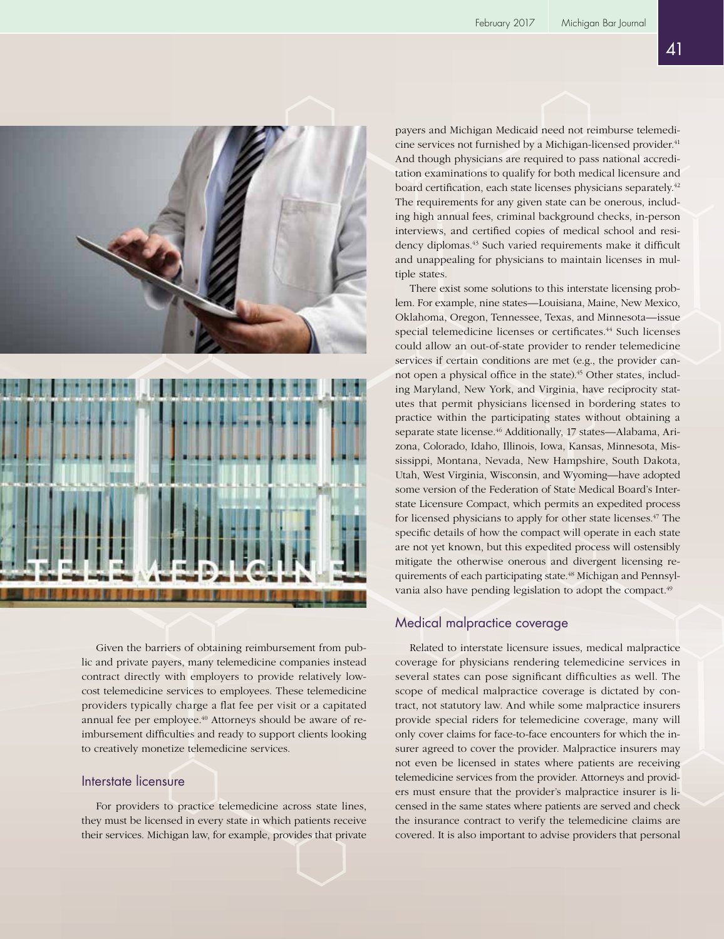



Given the barriers of obtaining reimbursement from public and private payers, many telemedicine companies instead contract directly with employers to provide relatively lowcost telemedicine services to employees. These telemedicine providers typically charge a flat fee per visit or a capitated annual fee per employee.<sup>40</sup> Attorneys should be aware of reimbursement difficulties and ready to support clients looking to creatively monetize telemedicine services.

## Interstate licensure

For providers to practice telemedicine across state lines, they must be licensed in every state in which patients receive their services. Michigan law, for example, provides that private payers and Michigan Medicaid need not reimburse telemedicine services not furnished by a Michigan-licensed provider.<sup>41</sup> And though physicians are required to pass national accreditation examinations to qualify for both medical licensure and board certification, each state licenses physicians separately.<sup>42</sup> The requirements for any given state can be onerous, including high annual fees, criminal background checks, in-person interviews, and certified copies of medical school and residency diplomas.43 Such varied requirements make it difficult and unappealing for physicians to maintain licenses in multiple states.

There exist some solutions to this interstate licensing problem. For example, nine states—Louisiana, Maine, New Mexico, Oklahoma, Oregon, Tennessee, Texas, and Minnesota—issue special telemedicine licenses or certificates.<sup>44</sup> Such licenses could allow an out-of-state provider to render telemedicine services if certain conditions are met (e.g., the provider cannot open a physical office in the state).<sup>45</sup> Other states, including Maryland, New York, and Virginia, have reciprocity statutes that permit physicians licensed in bordering states to practice within the participating states without obtaining a separate state license.<sup>46</sup> Additionally, 17 states—Alabama, Arizona, Colorado, Idaho, Illinois, Iowa, Kansas, Minnesota, Mississippi, Montana, Nevada, New Hampshire, South Dakota, Utah, West Virginia, Wisconsin, and Wyoming—have adopted some version of the Federation of State Medical Board's Interstate Licensure Compact, which permits an expedited process for licensed physicians to apply for other state licenses.<sup>47</sup> The specific details of how the compact will operate in each state are not yet known, but this expedited process will ostensibly mitigate the otherwise onerous and divergent licensing requirements of each participating state.<sup>48</sup> Michigan and Pennsylvania also have pending legislation to adopt the compact.<sup>49</sup>

## Medical malpractice coverage

Related to interstate licensure issues, medical malpractice coverage for physicians rendering telemedicine services in several states can pose significant difficulties as well. The scope of medical malpractice coverage is dictated by contract, not statutory law. And while some malpractice insurers provide special riders for telemedicine coverage, many will only cover claims for face-to-face encounters for which the insurer agreed to cover the provider. Malpractice insurers may not even be licensed in states where patients are receiving telemedicine services from the provider. Attorneys and providers must ensure that the provider's malpractice insurer is licensed in the same states where patients are served and check the insurance contract to verify the telemedicine claims are covered. It is also important to advise providers that personal